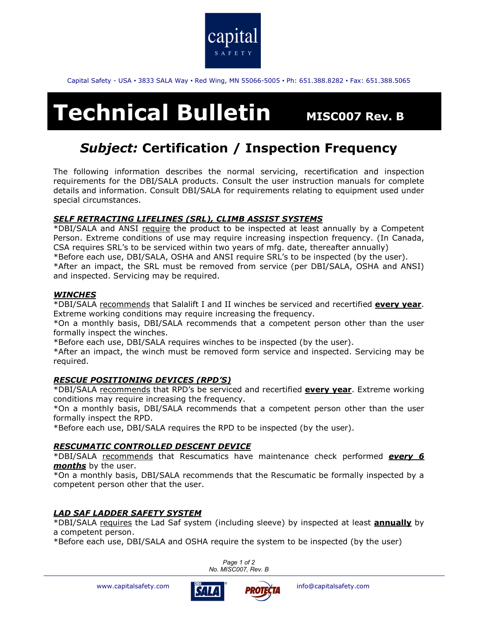

Capital Safety - USA • 3833 SALA Way • Red Wing, MN 55066-5005 • Ph: 651.388.8282 • Fax: 651.388.5065

# **Technical Bulletin** MISC007 Rev. B

# *Subject:* **Certification / Inspection Frequency**

The following information describes the normal servicing, recertification and inspection requirements for the DBI/SALA products. Consult the user instruction manuals for complete details and information. Consult DBI/SALA for requirements relating to equipment used under special circumstances.

# *SELF RETRACTING LIFELINES (SRL), CLIMB ASSIST SYSTEMS*

\*DBI/SALA and ANSI require the product to be inspected at least annually by a Competent Person. Extreme conditions of use may require increasing inspection frequency. (In Canada, CSA requires SRL's to be serviced within two years of mfg. date, thereafter annually) \*Before each use, DBI/SALA, OSHA and ANSI require SRL's to be inspected (by the user). \*After an impact, the SRL must be removed from service (per DBI/SALA, OSHA and ANSI) and inspected. Servicing may be required.

### *WINCHES*

\*DBI/SALA recommends that Salalift I and II winches be serviced and recertified **every year**. Extreme working conditions may require increasing the frequency.

\*On a monthly basis, DBI/SALA recommends that a competent person other than the user formally inspect the winches.

\*Before each use, DBI/SALA requires winches to be inspected (by the user).

\*After an impact, the winch must be removed form service and inspected. Servicing may be required.

# *RESCUE POSITIONING DEVICES (RPD'S)*

\*DBI/SALA recommends that RPD's be serviced and recertified **every year**. Extreme working conditions may require increasing the frequency.

\*On a monthly basis, DBI/SALA recommends that a competent person other than the user formally inspect the RPD.

\*Before each use, DBI/SALA requires the RPD to be inspected (by the user).

# *RESCUMATIC CONTROLLED DESCENT DEVICE*

\*DBI/SALA recommends that Rescumatics have maintenance check performed *every 6 months* by the user.

\*On a monthly basis, DBI/SALA recommends that the Rescumatic be formally inspected by a competent person other that the user.

# *LAD SAF LADDER SAFETY SYSTEM*

\*DBI/SALA requires the Lad Saf system (including sleeve) by inspected at least **annually** by a competent person.

\*Before each use, DBI/SALA and OSHA require the system to be inspected (by the user)